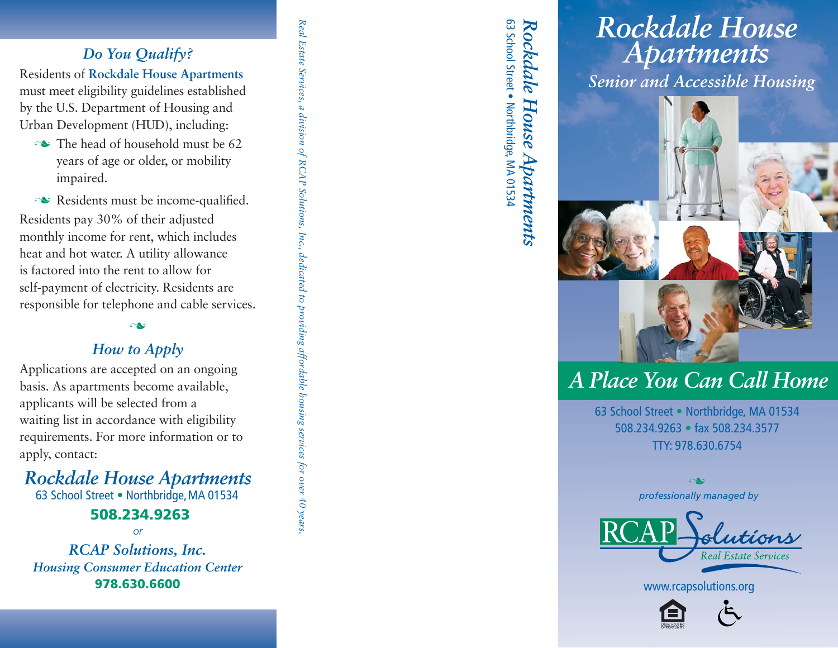### *Do You Qualify?*

Residents of **Rockdale House Apartments**  must meet eligibility guidelines established by the U.S. Department of Housing and Urban Development (HUD), including:

 $\sim$  The head of household must be 62 years of age or older, or mobility impaired.

 $\sim$  Residents must be income-qualified.<br>Sidents pay 30% of their adjusted Residents pay 30% of their adjusted monthly income for rent, which includesheat and hot water. A utility allowanceis factored into the rent to allow for self-payment of electricity. Residents areresponsible for telephone and cable services. *Real Estate Services, a division of RCAP Solutions, Inc., dedicated to providing affordable housing services for over 40 years.*

dedicated to providing affordable housing services for over 40 years

a division of RCAP Solutions, Inc.,

Real Estate Services,

#### $\sim$

#### *How to Apply*

 Applications are accepted on an ongoingbasis. As apartments become available,applicants will be selected from a waiting list in accordance with eligibility requirements. For more information or toapply, contact:

# *Rockdale House Apartments*

63 School Street • Northbridge, MA 01534

#### **508.234.9263**

*or*

*RCAP Solutions, Inc. Housing Consumer Education Center*978.630.6600

63 School Street . Northbridge, MA 01534 63 School Street . Northbridge, MA 01534 *Rockdale House Apartments* Rockdale House Apartments

# *Rockdale House Apartments*

*Senior and Accessible Housing*



# *A Place You Can Call Home*

63 School Street . Northbridge, MA 01534 508.234.9263 • fax 508.234.3577 TTY: 978.630.6754

> *professionally managed by* n



www.rcapsolutions.org